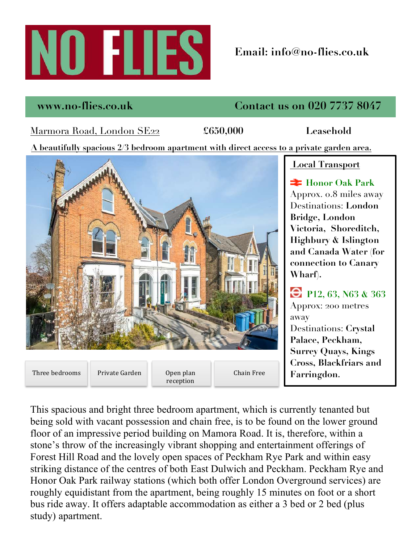

# **Email: info@no-flies.co.uk**

## **www.no-flies.co.uk Contact us on 020 7737 8047**

## Marmora Road, London SE22 **£650,000 Leasehold**

**A beautifully spacious 2/3 bedroom apartment with direct access to a private garden area.**



### **Local Transport**

**Honor Oak Park** Approx. 0.8 miles away Destinations: **London Bridge, London Victoria, Shoreditch, Highbury & Islington and Canada Water (for connection to Canary Wharf).**

**P12, 63, N63 & 363** Approx: 200 metres away Destinations: **Crystal Palace, Peckham, Surrey Quays, Kings Cross, Blackfriars and Farringdon.**

and chain free, is to be found on the<br>ling on Mamora Road. It is, therefor<br>vibrant shopping and entertainment of This spacious and bright three bedroom apartment, which is currently tenanted but being sold with vacant possession and chain free, is to be found on the lower ground floor of an impressive period building on Mamora Road. It is, therefore, within a stone's throw of the increasingly vibrant shopping and entertainment offerings of Forest Hill Road and the lovely open spaces of Peckham Rye Park and within easy striking distance of the centres of both East Dulwich and Peckham. Peckham Rye and Honor Oak Park railway stations (which both offer London Overground services) are roughly equidistant from the apartment, being roughly 15 minutes on foot or a short bus ride away. It offers adaptable accommodation as either a 3 bed or 2 bed (plus study) apartment.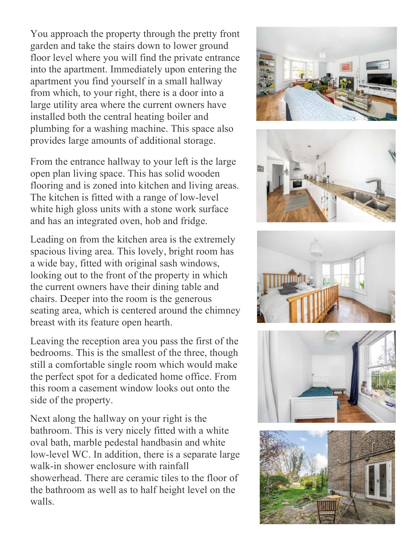You approach the property through the pretty front garden and take the stairs down to lower ground floor level where you will find the private entrance into the apartment. Immediately upon entering the apartment you find yourself in a small hallway from which, to your right, there is a door into a large utility area where the current owners have installed both the central heating boiler and plumbing for a washing machine. This space also provides large amounts of additional storage.

From the entrance hallway to your left is the large open plan living space. This has solid wooden flooring and is zoned into kitchen and living areas. The kitchen is fitted with a range of low-level white high gloss units with a stone work surface and has an integrated oven, hob and fridge.

Leading on from the kitchen area is the extremely spacious living area. This lovely, bright room has a wide bay, fitted with original sash windows, looking out to the front of the property in which the current owners have their dining table and chairs. Deeper into the room is the generous seating area, which is centered around the chimney breast with its feature open hearth.

Leaving the reception area you pass the first of the bedrooms. This is the smallest of the three, though still a comfortable single room which would make the perfect spot for a dedicated home office. From this room a casement window looks out onto the side of the property.

Next along the hallway on your right is the bathroom. This is very nicely fitted with a white oval bath, marble pedestal handbasin and white low-level WC. In addition, there is a separate large walk-in shower enclosure with rainfall showerhead. There are ceramic tiles to the floor of the bathroom as well as to half height level on the walls.









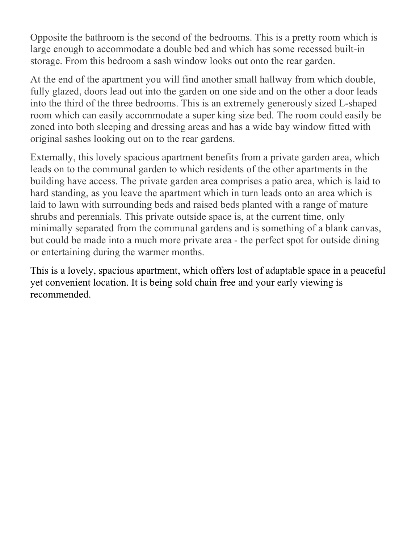Opposite the bathroom is the second of the bedrooms. This is a pretty room which is large enough to accommodate a double bed and which has some recessed built-in storage. From this bedroom a sash window looks out onto the rear garden.

At the end of the apartment you will find another small hallway from which double, fully glazed, doors lead out into the garden on one side and on the other a door leads into the third of the three bedrooms. This is an extremely generously sized L-shaped room which can easily accommodate a super king size bed. The room could easily be zoned into both sleeping and dressing areas and has a wide bay window fitted with original sashes looking out on to the rear gardens.

Externally, this lovely spacious apartment benefits from a private garden area, which leads on to the communal garden to which residents of the other apartments in the building have access. The private garden area comprises a patio area, which is laid to hard standing, as you leave the apartment which in turn leads onto an area which is laid to lawn with surrounding beds and raised beds planted with a range of mature shrubs and perennials. This private outside space is, at the current time, only minimally separated from the communal gardens and is something of a blank canvas, but could be made into a much more private area - the perfect spot for outside dining or entertaining during the warmer months.

This is a lovely, spacious apartment, which offers lost of adaptable space in a peaceful yet convenient location. It is being sold chain free and your early viewing is recommended.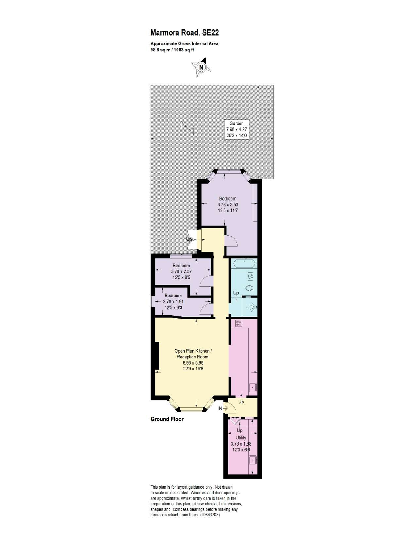#### Marmora Road, SE22

Approximate Gross Internal Area 98.8 sq m / 1063 sq ft





This plan is for layout guidance only. Not drawn<br>to scale unless stated. Windows and door openings to scale unless stated. Whild every care is taken in the<br>preparation of this plan, please check all dimensions,<br>shapes and compass bearings before making any<br>decisions reliant upon them. (ID843703)